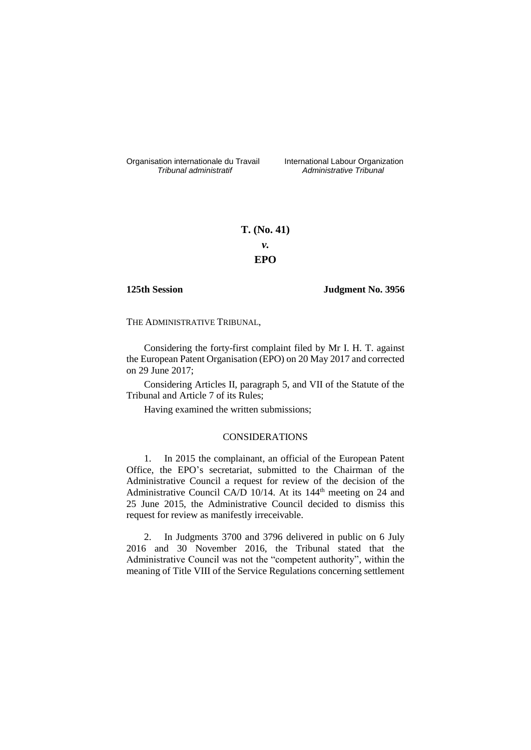Organisation internationale du Travail liternational Labour Organization<br> *Tribunal administratif Administrative Tribunal* 

*Tribunal administratif Administrative Tribunal*

# **T. (No. 41)** *v.* **EPO**

**125th Session Judgment No. 3956**

THE ADMINISTRATIVE TRIBUNAL,

Considering the forty-first complaint filed by Mr I. H. T. against the European Patent Organisation (EPO) on 20 May 2017 and corrected on 29 June 2017;

Considering Articles II, paragraph 5, and VII of the Statute of the Tribunal and Article 7 of its Rules;

Having examined the written submissions;

## CONSIDERATIONS

1. In 2015 the complainant, an official of the European Patent Office, the EPO's secretariat, submitted to the Chairman of the Administrative Council a request for review of the decision of the Administrative Council CA/D  $10/14$ . At its 144<sup>th</sup> meeting on 24 and 25 June 2015, the Administrative Council decided to dismiss this request for review as manifestly irreceivable.

2. In Judgments 3700 and 3796 delivered in public on 6 July 2016 and 30 November 2016, the Tribunal stated that the Administrative Council was not the "competent authority", within the meaning of Title VIII of the Service Regulations concerning settlement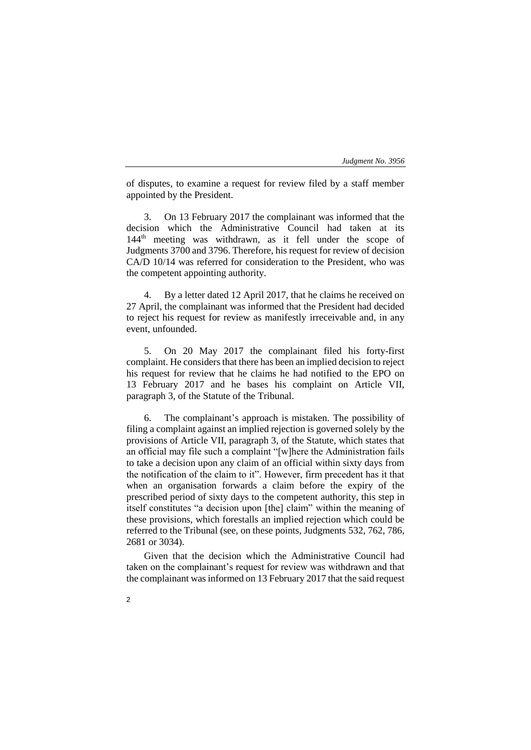#### *Judgment No. 3956*

of disputes, to examine a request for review filed by a staff member appointed by the President.

3. On 13 February 2017 the complainant was informed that the decision which the Administrative Council had taken at its 144<sup>th</sup> meeting was withdrawn, as it fell under the scope of Judgments 3700 and 3796. Therefore, his request for review of decision CA/D 10/14 was referred for consideration to the President, who was the competent appointing authority.

4. By a letter dated 12 April 2017, that he claims he received on 27 April, the complainant was informed that the President had decided to reject his request for review as manifestly irreceivable and, in any event, unfounded.

5. On 20 May 2017 the complainant filed his forty-first complaint. He considers that there has been an implied decision to reject his request for review that he claims he had notified to the EPO on 13 February 2017 and he bases his complaint on Article VII, paragraph 3, of the Statute of the Tribunal.

6. The complainant's approach is mistaken. The possibility of filing a complaint against an implied rejection is governed solely by the provisions of Article VII, paragraph 3, of the Statute, which states that an official may file such a complaint "[w]here the Administration fails to take a decision upon any claim of an official within sixty days from the notification of the claim to it". However, firm precedent has it that when an organisation forwards a claim before the expiry of the prescribed period of sixty days to the competent authority, this step in itself constitutes "a decision upon [the] claim" within the meaning of these provisions, which forestalls an implied rejection which could be referred to the Tribunal (see, on these points, Judgments 532, 762, 786, 2681 or 3034).

Given that the decision which the Administrative Council had taken on the complainant's request for review was withdrawn and that the complainant was informed on 13 February 2017 that the said request

2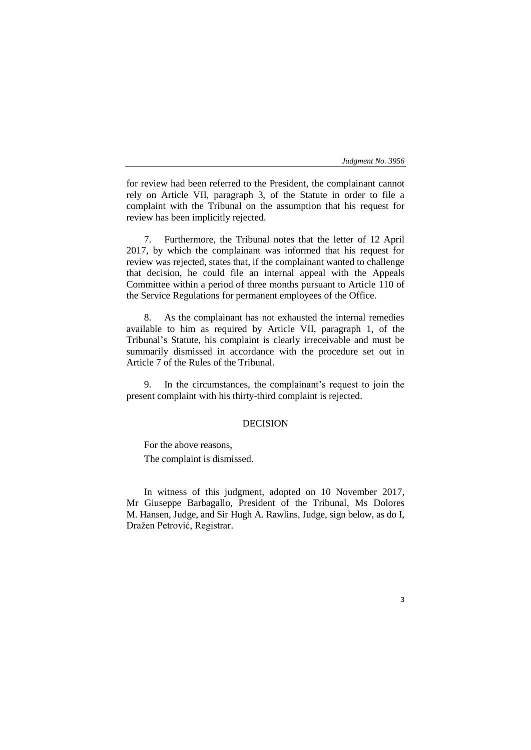### *Judgment No. 3956*

3

for review had been referred to the President, the complainant cannot rely on Article VII, paragraph 3, of the Statute in order to file a complaint with the Tribunal on the assumption that his request for review has been implicitly rejected.

7. Furthermore, the Tribunal notes that the letter of 12 April 2017, by which the complainant was informed that his request for review was rejected, states that, if the complainant wanted to challenge that decision, he could file an internal appeal with the Appeals Committee within a period of three months pursuant to Article 110 of the Service Regulations for permanent employees of the Office.

8. As the complainant has not exhausted the internal remedies available to him as required by Article VII, paragraph 1, of the Tribunal's Statute, his complaint is clearly irreceivable and must be summarily dismissed in accordance with the procedure set out in Article 7 of the Rules of the Tribunal.

9. In the circumstances, the complainant's request to join the present complaint with his thirty-third complaint is rejected.

# DECISION

For the above reasons, The complaint is dismissed.

In witness of this judgment, adopted on 10 November 2017, Mr Giuseppe Barbagallo, President of the Tribunal, Ms Dolores M. Hansen, Judge, and Sir Hugh A. Rawlins, Judge, sign below, as do I, Dražen Petrović, Registrar.